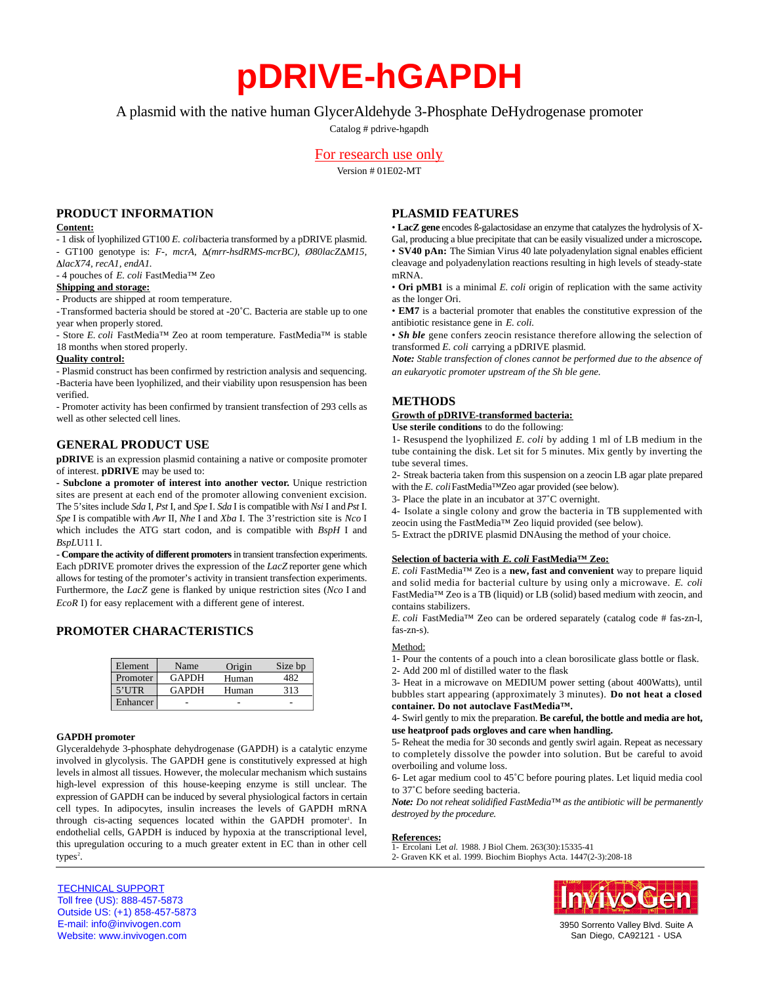# **pDRIVE-hGAPDH**

A plasmid with the native human GlycerAldehyde 3-Phosphate DeHydrogenase promoter

Catalog # pdrive-hgapdh

# For research use only

Version # 01E02-MT

## **PRODUCT INFORMATION**

## **Content:**

- 1 disk of lyophilized GT100 *E. coli*bacteria transformed by a pDRIVE plasmid. - GT100 genotype is: *F-, mcrA, Δ(mrr-hsdRMS-mcrBC), Ø80lacZΔM15, lacX74, recA1, endA1.*

- 4 pouches of *E. coli* FastMedia™ Zeo

#### **Shipping and storage:**

- Products are shipped at room temperature.

-Transformed bacteria should be stored at -20˚C. Bacteria are stable up to one year when properly stored.

- Store *E. coli* FastMedia™ Zeo at room temperature. FastMedia™ is stable 18 months when stored properly.

#### **Quality control:**

- Plasmid construct has been confirmed by restriction analysis and sequencing. -Bacteria have been lyophilized, and their viability upon resuspension has been verified.

- Promoter activity has been confirmed by transient transfection of 293 cells as well as other selected cell lines.

# **GENERAL PRODUCT USE**

**pDRIVE** is an expression plasmid containing a native or composite promoter of interest. **pDRIVE** may be used to:

**- Subclone a promoter of interest into another vector.** Unique restriction sites are present at each end of the promoter allowing convenient excision. The 5' sites include *Sda* I, Pst I, and *Spe I. Sda I* is compatible with *Nsi* I and Pst I. *Spe* I is compatible with *Avr* II, *Nhe* I and *Xba* I. The 3' restriction site is *Nco* I which includes the ATG start codon, and is compatible with *BspH* I and *BspL*U11 I.

- Compare the activity of different promoters in transient transfection experiments. Each pDRIVE promoter drives the expression of the *LacZ* reporter gene which allows for testing of the promoter's activity in transient transfection experiments. Furthermore, the *LacZ* gene is flanked by unique restriction sites (*Nco* I and *EcoR* I) for easy replacement with a different gene of interest.

# **PROMOTER CHARACTERISTICS**

| Element  | Name         | Origin | Size bp |
|----------|--------------|--------|---------|
| Promoter | <b>GAPDH</b> | Human  |         |
| $5'$ UTR | <b>GAPDH</b> | Human  | 313     |
| Enhancer |              |        |         |

#### **GAPDH promoter**

Glyceraldehyde 3-phosphate dehydrogenase (GAPDH) is a catalytic enzyme involved in glycolysis. The GAPDH gene is constitutively expressed at high levels in almost all tissues. However, the molecular mechanism which sustains high-level expression of this house-keeping enzyme is still unclear. The expression of GAPDH can be induced by several physiological factors in certain cell types. In adipocytes, insulin increases the levels of GAPDH mRNA through cis-acting sequences located within the GAPDH promoter<sup>1</sup>. In endothelial cells, GAPDH is induced by hypoxia at the transcriptional level, this upregulation occuring to a much greater extent in EC than in other cell types<sup>2</sup>.

# **PLASMID FEATURES**

• **LacZ gene** encodes ß-galactosidase an enzyme that catalyzes the hydrolysis of X-Gal, producing a blue precipitate that can be easily visualized under a microscope**.** • **SV40 pAn:** The Simian Virus 40 late polyadenylation signal enables efficient cleavage and polyadenylation reactions resulting in high levels of steady-state mRNA.

• **Ori pMB1** is a minimal *E. coli* origin of replication with the same activity as the longer Ori.

• **EM7** is a bacterial promoter that enables the constitutive expression of the antibiotic resistance gene in *E. coli.*

• *Sh ble* gene confers zeocin resistance therefore allowing the selection of transformed *E. coli* carrying a pDRIVE plasmid.

*Note: Stable transfection of clones cannot be performed due to the absence of an eukaryotic promoter upstream of the Sh ble gene.*

## **METHODS**

## **Growth of pDRIVE-transformed bacteria:**

**Use sterile conditions** to do the following:

1- Resuspend the lyophilized *E. coli* by adding 1 ml of LB medium in the tube containing the disk. Let sit for 5 minutes. Mix gently by inverting the tube several times.

2- Streak bacteria taken from this suspension on a zeocin LB agar plate prepared with the *E. coli* FastMedia™Zeo agar provided (see below).

3- Place the plate in an incubator at 37˚C overnight.

4- Isolate a single colony and grow the bacteria in TB supplemented with zeocin using the FastMedia™ Zeo liquid provided (see below).

5- Extract the pDRIVE plasmid DNAusing the method of your choice.

## **Selection of bacteria with** *E. coli* **FastMedia™ Zeo:**

*E. coli* FastMedia<sup>™</sup> Zeo is a **new, fast and convenient** way to prepare liquid and solid media for bacterial culture by using only a microwave. *E. coli* FastMedia™ Zeo is a TB (liquid) or LB (solid) based medium with zeocin, and contains stabilizers.

*E. coli* FastMedia™ Zeo can be ordered separately (catalog code # fas-zn-l, fas-zn-s).

## Method:

1- Pour the contents of a pouch into a clean borosilicate glass bottle or flask.

2- Add 200 ml of distilled water to the flask

3- Heat in a microwave on MEDIUM power setting (about 400Watts), until bubbles start appearing (approximately 3 minutes). **Do not heat a closed** container. Do not autoclave FastMedia<sup>™</sup>.

4- Swirl gently to mix the preparation. **Be careful, the bottle and media are hot, use heatproof pads orgloves and care when handling.**

5- Reheat the media for 30 seconds and gently swirl again. Repeat as necessary to completely dissolve the powder into solution. But be careful to avoid overboiling and volume loss.

6- Let agar medium cool to 45˚C before pouring plates. Let liquid media cool to 37˚C before seeding bacteria.

*Note: Do not reheat solidified FastMedia™ as the antibiotic will be permanently destroyed by the procedure.* 

#### **References:**

1- Ercolani Let *al.* 1988. J Biol Chem. 263(30):15335-41 2- Graven KK et al. 1999. Biochim Biophys Acta. 1447(2-3):208-18

TECHNICAL SUPPORT Toll free (US): 888-457-5873 Outside US: (+1) 858-457-5873 E-mail: info@invivogen.com Website: www.invivogen.com

nvivoGer

3950 Sorrento Valley Blvd. Suite A San Diego, CA92121 - USA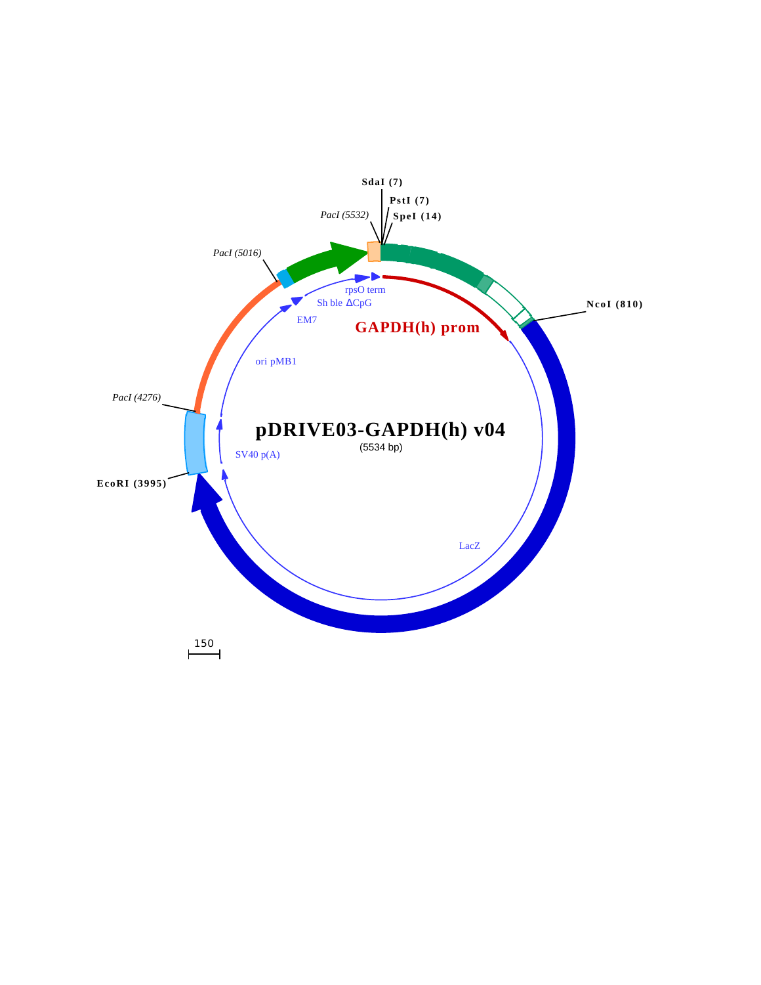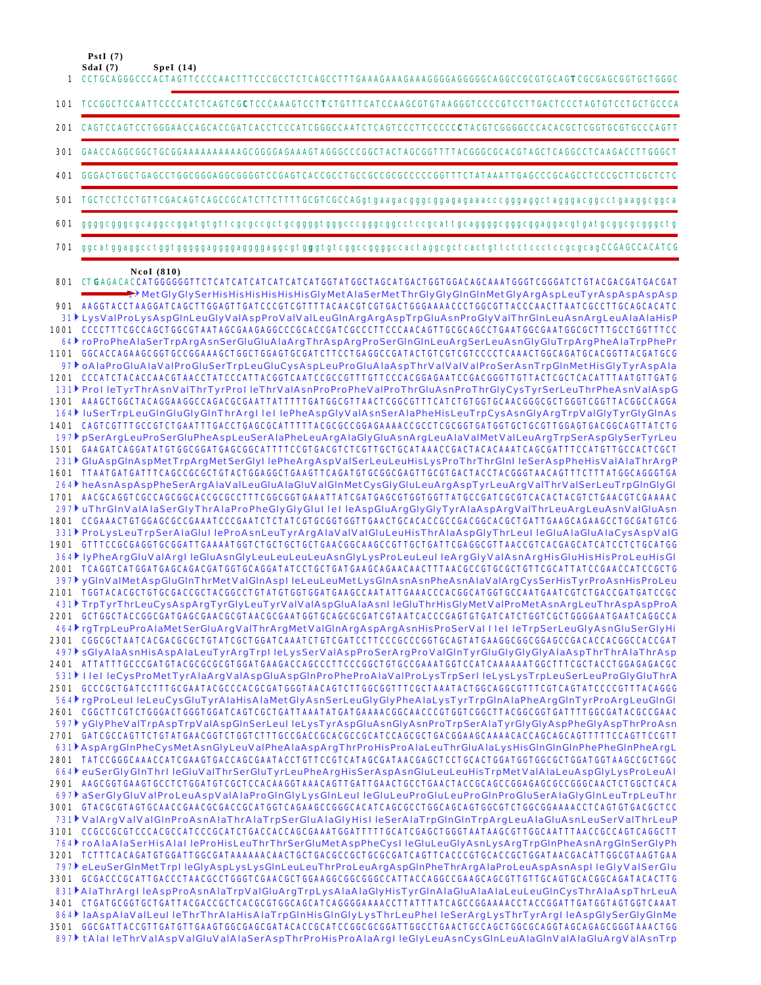$PstI(7)$ 

201

301 401

501

- 601
- 701

#### $Ncal(810)$

801 CTGAGACACCATGGGGGGTTCTCATCATCATCATCATCATGGTATGGCTAGCATGACTGGTGGACAACCAAATGGGTCGGGATCTGTACGACGATGACGAT  $\blacktriangleright$ MetGlyGlySerHisHisHisHisHisHisGlyMetAlaSerMetThrGlyGlyGlnGlnMetGlyArgAspLeuTyrAspAspAspAsp 901 AAGGTACCTAAGGATCAGCTTGGAGTTGATCCCGTCGTTTTACAACGTCGTGACTGGGAAAACCCTGGCGTTACCCAACTTAATCGCCTTGCAGCACATC 31 LysValProLysAspGInLeuGlyValAspProValValLeuGInArgArgAspTrpGluAsnProGlyValThrGInLeuAsnArgLeuAlaAlaHisP 1001 CCCCTTTCGCCAGCTGGCGTAATAGCGAAGAGGCCCGCACCGATCGCCCTTCCCAACAGTTGCGCAGCCTGAATGGCGAATGGCGCTTTGCCTGGTTTCC 64 roProPheAlaSerTrpArgAsnSerGluGluAlaArgThrAspArgProSerGlnGlnLeuArgSerLeuAsnGlyGluTrpArgPheAlaTrpPhePr 1101 GGCACCAGAAGCGGTGCCGGAAAGCTGGCTGGAGTGCGATCTTCCTGAGGCCGATACTGTCGTCGTCCCCTCAAACTGGCAGATGCACGGTTACGATGCG 97) oAlaProGluAlaValProGluSerTrpLeuGluCysAspLeuProGluAlaAspThrValValValProSerAsnTrpGlnMetHisGlyTyrAspAla 1201 CCCATCTACACCAACGTAACCTATCCCATTACGGTCAATCCGCCGTTTGTTCCCACGGAGAATCCGACGGGTTGTTACTCGCTCACATTTAATGTTGATG 131 ProlleTyrThrAsnValThrTyrProlleThrValAsnProProPheValProThrGluAsnProThrGlyCysTyrSerLeuThrPheAsnValAspG 1301 AAAGCTGGCTACAGGAAGGCCAGACGCGAATTATTTTGATGGCGTTAACTCGGCGTTTCATCTGTGCTGCAACGGGCGCTGGGTCGGTTACGGCCAGGA 164 luSerTrpLeuGInGluGlyGInThrArgIlellePheAspGlyValAsnSerAlaPheHisLeuTrpCysAsnGlyArgTrpValGlyTyrGlyGInAs 1401 CAGTCGTTTGCCGTCTGAATTTGACCTGAGCGCATTTTTACGCGCCGGAGAAAACCGCCTCGCGGTGATGGTGCTGCGTTGGAGTGACGGCAGTTATCTG 197 | pSerArgLeuProSerGluPheAspLeuSerAlaPheLeuArgAlaGlyGluAsnArgLeuAlaValMetValLeuArgTrpSerAspGlySerTyrLeu 1501 GAAGATCAGGATATGTGGCGGATGAGCGGCATTTTCCGTGACGTCTCGTTGCTGCATAAACCGACTACACAAATCAGCGATTTCCATGTTGCCACTCGCT 231 GluAspGlnAspMetTrpArgMetSerGlyl lePheArgAspValSerLeuLeuHisLysProThrThrGlnl leSerAspPheHisValAlaThrArgP 264∤ heAsnAspAspPheSerArgAlaValLeuGluAlaGluValGlnMetCysGlyGluLeuArgAspTyrLeuArgValThrValSerLeuTrpGlnGlyGl 1701 AACGCAGGTCGCCAGCGGCACCGCGCCTTTCGGCGGTGAAATTATCGATGAGCGTGGTGGTTATGCCGATCGCGTCACACTACGTCTGAACGTCGAAAAC 297<sup>}</sup> uThrGlnValAlaSerGlyThrAlaProPheGlyGlyGlul lel leAspGluArgGlyGlyTyrAlaAspArgValThrLeuArgLeuAsnValGluAsn 1801 CCGAAACTGTGGAGCGCCGAAATCCCGAATCTCTATCGTGCGGTGGTTGAACTGCACACCGCCGACGGCACGCTGATTGAAGCAGAAGCCTGCGATGTCG 331 ProLysLeuTrpSerAlaGlul leProAsnLeuTyrArgAlaValValGluLeuHisThrAlaAspGlyThrLeul leGluAlaGluAlaCysAspValG 1901 GTTTCCGCGAGGTGCGGATTGAAAATGGTCTGCTGCTGCTGAACGGCAAGCCGTTGCTGATTCGAGGCGTTAACCGTCACGAGCATCATCCTCTGCATGG 364 lyPheArgGluValArgl leGluAsnGlyLeuLeuLeuLeuAsnGlyLysProLeuLeul leArgGlyValAsnArgHisGluHisHisProLeuHisGl 2001 TCAGGTCATGGATGAGCAGACGATGGTGCAGGATATCCTGCTGATGAAGCAGAACTTTAACGCCGTGCGCTGTTCGCATTATCCGAACCATCCGCTG 397 yGInValMetAspGluGInThrMetValGInAspl leLeuLeuMetLysGInAsnAsnPheAsnAlaValArgCysSerHisTyrProAsnHisProLeu 2101 TGGTACACGCTGTGCGACCGCTACGGCCTGTATGTGGTGGATGAAGCCAATATTGAAACCCACGGCATGGTGCCAATGAATCGTCTGACCGATGATCCGC 431 TrpTyrThrLeuCysAspArgTyrGlyLeuTyrValValAspGluAlaAsnl leGluThrHisGlyMetValProMetAsnArgLeuThrAspAspProA 464 rgTrpLeuProAlaMetSerGluArgValThrArgMetValGlnArgAspArgAsnHisProSerValTTeT leTrpSerLeuGlyAsnGluSerGlyHi 2301 CGGCGCTAATCACGACGCCGCTGTATCGCTGGATCAAATCTGTCGATCCTTCCCGCCGGGTGCAGTATGAAGGCGGCGGAGCCGACCACCGCCACCGAT 497 SGIyAlaAsnHisAspAlaLeuTyrArqTrpl leLysSerValAspProSerArqProValGInTyrGluGlyGlyGlyAlaAspThrThrAlaThrAsp 2401 ATTATTTGCCCGATGTACGCGCGCGTGGATGAAGACCAGCCCTTCCCGGCTGTGCCGAAATGGTCCATCAAAAATGGCTTTCGCTACCTGGAGAGACGC 531 HelleCysProMetTyrAlaArgValAspGluAspGInProPheProAlaValProLysTrpSerlleLysLysTrpLeuSerLeuProGlyGluThrA 2501 GCCCGCTGATCCTTTGCGAATACGCCCACGCGATGGGTAACAGTCTTGGCGGTTTCGCTAAATACTGGCAGGCGTTTCGTCAGTATCCCCGTTTACAGGG 564 rgProLeul leLeuCysGluTyrAlaHisAlaMetGlyAsnSerLeuGlyGlyPheAlaLysTyrTrpGlnAlaPheArgGlnTyrProArgLeuGlnGl 2601 CGGCTTCGTCTGGGACTGGGTGGATCAGTCGCTGATTAAATATGATGAAAACGGCAACCCGTGGTCGGCTTACGGCGGTGATTTTGGCGATACGCCGAAC 597 yGlyPheValTrpAspTrpValAspGInSerLeul leLysTyrAspGluAsnGlyAsnProTrpSerAlaTyrGlyGlyAspPheGlyAspThrProAsn 2701 GATCGCCAGTTCTGTATGAACGGTCTGGTCTTTGCCGACCGCACGCCGCATCCAGCGCTGACGGAAGCAAAACACCAGCAGCAGTTTTTCCAGTTCCGTT 631 AspArgGInPheCysMetAsnGlyLeuValPheAlaAspArgThrProHisProAlaLeuThrGluAlaLysHisGInGInGInPhePheGInPheArgL 2801 TATCCGGCCAAACCATCGAAGTGACCAGCGAATACCTGTTCCGTCATAGCGATAACGAGCTCCTGCACTGGATGGTGGCTGGATGGTAAGCCGCTGGC 664 euSerGlyGlnThrl leGluValThrSerGluTyrLeuPheArgHisSerAspAsnGluLeuLeuHisTrpMetValAlaLeuAspGlyLysProLeuAl 697 aSerGlyGluValProLeuAspValAlaProGlnGlyLysGlnLeul leGluLeuProGluLeuProGlnProGluSerAlaGlyGlnLeuTrpLeuThr 3001 GTACGCGTAGTGCAACCGAACGCGACCGCATGGTCAGAAGCCGGGCACATCAGCGCCTGGCAGCAGTGGCGTCTGGCGAAAACCTCAGTGTGACGCTCC 731 ValArgValValGInProAsnAlaThrAlaTrpSerGluAlaGlyHisI leSerAlaTrpGInGInTrpArgLeuAlaGluAsnLeuSerValThrLeuP 3101 CCGCCGCGTCCCACGCCATCCCGCATCTGACCACCGCAAATGGATTTTTGCATCGAGCTGGGTAATAAGCGTTGGCAATTTAACCGCCAGTCAGGCTT 764 roAlaAlaSerHisAlal leProHisLeuThrThrSerGluMetAspPheCysl leGluLeuGlyAsnLysArgTrpGlnPheAsnArgGlnSerGlyPh 3201 TCTTTCACAGATGTGGATTGGCGATAAAAAACAACTGCTGACGCCGCTGCGCGATCAGTTCACCCGTGCACCGCTGGATAACGACATTGGCGTAAGTGAA 797 eLeuSerGInMetTrpl leGIyAspLysLysGInLeuLeuThrProLeuArgAspGInPheThrArgAlaProLeuAspAsnAspl leGIyVaISerGIu 3301 GCGACCCGCATTGACCCTAACGCCTGGGTCGAACGCTGGAAGGCGGCGGCCATTACCAGGCCGAAGCAGCGTTGTTGCAGTGCACGGCAGATACACTTG 831▶AlaThrArgIleAspProAsnAlaTrpValGluArgTrpLysAlaAlaGlyHisTyrGlnAlaGluAlaAlaLeuLeuGlnCysThrAlaAspThrLeuA 864 laAspAlaValLeul leThrThrAlaHisAlaTrpGInHisGInGlyLysThrLeuPhel leSerArgLysThrTyrArgI leAspGlySerGlyGInMe 3501 GGCGATTACCGTTGATGTTGAAGTGGCGAGCGATACACCGCATCCGGCGCGGATTGGCCTGAACTGCCAGCTGGCGCAGGTAGCAGCGGGTAAACTGG 897 tAlal leThrValAspValGluValAlaSerAspThrProHisProAlaArgl leGlyLeuAsnCysGlnLeuAlaGlnValAlaGluArgValAsnTrp